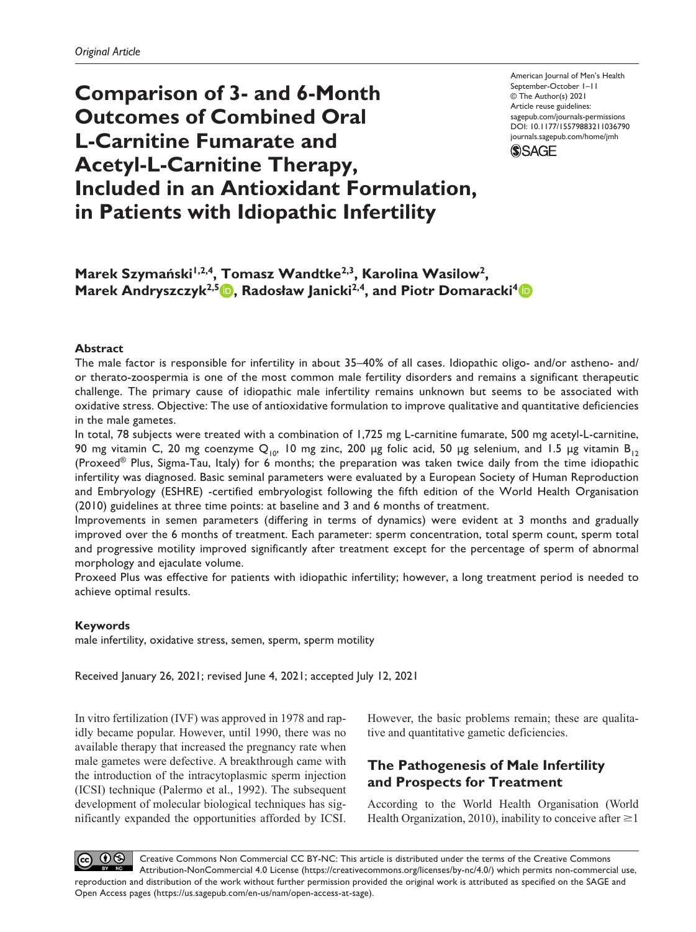**Comparison of 3- and 6-Month Outcomes of Combined Oral L-Carnitine Fumarate and Acetyl-L-Carnitine Therapy, Included in an Antioxidant Formulation, in Patients with Idiopathic Infertility**

American Journal of Men's Health September-October 1–11 © The Author(s) 2021 Article reuse guidelines: [sagepub.com/journals-permissions](https://us.sagepub.com/en-us/journals-permissions) https://doi.org/10.1177/15579883211036790 DOI: 10.1177/15579883211036790 [journals.sagepub.com/home/jmh](http://journals.sagepub.com/home/jmh) **SSAGE** 

Marek Szymański<sup>1,2,4</sup>, Tomasz Wandtke<sup>2,3</sup>, Karolina Wasilow<sup>2</sup>, **Marek Andryszczyk<sup>2,5</sup> <b>b**, Radosław Janicki<sup>2,4</sup>, and Piotr Domaracki<sup>4</sup> **b** 

## **Abstract**

The male factor is responsible for infertility in about 35–40% of all cases. Idiopathic oligo- and/or astheno- and/ or therato-zoospermia is one of the most common male fertility disorders and remains a significant therapeutic challenge. The primary cause of idiopathic male infertility remains unknown but seems to be associated with oxidative stress. Objective: The use of antioxidative formulation to improve qualitative and quantitative deficiencies in the male gametes.

In total, 78 subjects were treated with a combination of 1,725 mg L-carnitine fumarate, 500 mg acetyl-L-carnitine, 90 mg vitamin C, 20 mg coenzyme Q<sub>10</sub>, 10 mg zinc, 200 µg folic acid, 50 µg selenium, and 1.5 µg vitamin B<sub>12</sub> (Proxeed® Plus, Sigma-Tau, Italy) for 6 months; the preparation was taken twice daily from the time idiopathic infertility was diagnosed. Basic seminal parameters were evaluated by a European Society of Human Reproduction and Embryology (ESHRE) -certified embryologist following the fifth edition of the World Health Organisation (2010) guidelines at three time points: at baseline and 3 and 6 months of treatment.

Improvements in semen parameters (differing in terms of dynamics) were evident at 3 months and gradually improved over the 6 months of treatment. Each parameter: sperm concentration, total sperm count, sperm total and progressive motility improved significantly after treatment except for the percentage of sperm of abnormal morphology and ejaculate volume.

Proxeed Plus was effective for patients with idiopathic infertility; however, a long treatment period is needed to achieve optimal results.

### **Keywords**

male infertility, oxidative stress, semen, sperm, sperm motility

Received January 26, 2021; revised June 4, 2021; accepted July 12, 2021

In vitro fertilization (IVF) was approved in 1978 and rapidly became popular. However, until 1990, there was no available therapy that increased the pregnancy rate when male gametes were defective. A breakthrough came with the introduction of the intracytoplasmic sperm injection (ICSI) technique (Palermo et al., 1992). The subsequent development of molecular biological techniques has significantly expanded the opportunities afforded by ICSI. However, the basic problems remain; these are qualitative and quantitative gametic deficiencies.

# **The Pathogenesis of Male Infertility and Prospects for Treatment**

According to the World Health Organisation (World Health Organization, 2010), inability to conceive after  $\geq 1$ 

CC  $\Theta$  Creative Commons Non Commercial CC BY-NC: This article is distributed under the terms of the Creative Commons Attribution-NonCommercial 4.0 License (https://creativecommons.org/licenses/by-nc/4.0/) which permits non-commercial use, reproduction and distribution of the work without further permission provided the original work is attributed as specified on the SAGE and Open Access pages (https://us.sagepub.com/en-us/nam/open-access-at-sage).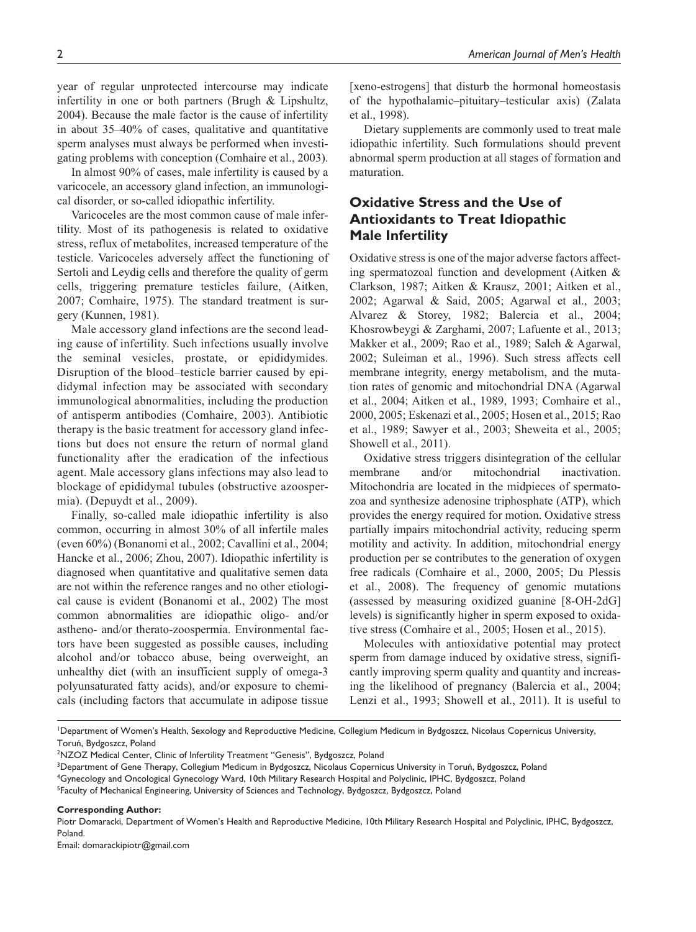year of regular unprotected intercourse may indicate infertility in one or both partners (Brugh & Lipshultz, 2004). Because the male factor is the cause of infertility in about 35–40% of cases, qualitative and quantitative sperm analyses must always be performed when investigating problems with conception (Comhaire et al., 2003).

In almost 90% of cases, male infertility is caused by a varicocele, an accessory gland infection, an immunological disorder, or so-called idiopathic infertility.

Varicoceles are the most common cause of male infertility. Most of its pathogenesis is related to oxidative stress, reflux of metabolites, increased temperature of the testicle. Varicoceles adversely affect the functioning of Sertoli and Leydig cells and therefore the quality of germ cells, triggering premature testicles failure, (Aitken, 2007; Comhaire, 1975). The standard treatment is surgery (Kunnen, 1981).

Male accessory gland infections are the second leading cause of infertility. Such infections usually involve the seminal vesicles, prostate, or epididymides. Disruption of the blood–testicle barrier caused by epididymal infection may be associated with secondary immunological abnormalities, including the production of antisperm antibodies (Comhaire, 2003). Antibiotic therapy is the basic treatment for accessory gland infections but does not ensure the return of normal gland functionality after the eradication of the infectious agent. Male accessory glans infections may also lead to blockage of epididymal tubules (obstructive azoospermia). (Depuydt et al., 2009).

Finally, so-called male idiopathic infertility is also common, occurring in almost 30% of all infertile males (even 60%) (Bonanomi et al., 2002; Cavallini et al., 2004; Hancke et al., 2006; Zhou, 2007). Idiopathic infertility is diagnosed when quantitative and qualitative semen data are not within the reference ranges and no other etiological cause is evident (Bonanomi et al., 2002) The most common abnormalities are idiopathic oligo- and/or astheno- and/or therato-zoospermia. Environmental factors have been suggested as possible causes, including alcohol and/or tobacco abuse, being overweight, an unhealthy diet (with an insufficient supply of omega-3 polyunsaturated fatty acids), and/or exposure to chemicals (including factors that accumulate in adipose tissue [xeno-estrogens] that disturb the hormonal homeostasis of the hypothalamic–pituitary–testicular axis) (Zalata et al., 1998).

Dietary supplements are commonly used to treat male idiopathic infertility. Such formulations should prevent abnormal sperm production at all stages of formation and maturation.

# **Oxidative Stress and the Use of Antioxidants to Treat Idiopathic Male Infertility**

Oxidative stress is one of the major adverse factors affecting spermatozoal function and development (Aitken & Clarkson, 1987; Aitken & Krausz, 2001; Aitken et al., 2002; Agarwal & Said, 2005; Agarwal et al., 2003; Alvarez & Storey, 1982; Balercia et al., 2004; Khosrowbeygi & Zarghami, 2007; Lafuente et al., 2013; Makker et al., 2009; Rao et al., 1989; Saleh & Agarwal, 2002; Suleiman et al., 1996). Such stress affects cell membrane integrity, energy metabolism, and the mutation rates of genomic and mitochondrial DNA (Agarwal et al., 2004; Aitken et al., 1989, 1993; Comhaire et al., 2000, 2005; Eskenazi et al., 2005; Hosen et al., 2015; Rao et al., 1989; Sawyer et al., 2003; Sheweita et al., 2005; Showell et al., 2011).

Oxidative stress triggers disintegration of the cellular membrane and/or mitochondrial inactivation. Mitochondria are located in the midpieces of spermatozoa and synthesize adenosine triphosphate (ATP), which provides the energy required for motion. Oxidative stress partially impairs mitochondrial activity, reducing sperm motility and activity. In addition, mitochondrial energy production per se contributes to the generation of oxygen free radicals (Comhaire et al., 2000, 2005; Du Plessis et al., 2008). The frequency of genomic mutations (assessed by measuring oxidized guanine [8-OH-2dG] levels) is significantly higher in sperm exposed to oxidative stress (Comhaire et al., 2005; Hosen et al., 2015).

Molecules with antioxidative potential may protect sperm from damage induced by oxidative stress, significantly improving sperm quality and quantity and increasing the likelihood of pregnancy (Balercia et al., 2004; Lenzi et al., 1993; Showell et al., 2011). It is useful to

1 Department of Women's Health, Sexology and Reproductive Medicine, Collegium Medicum in Bydgoszcz, Nicolaus Copernicus University, Toruń, Bydgoszcz, Poland

<sup>2</sup>NZOZ Medical Center, Clinic of Infertility Treatment "Genesis", Bydgoszcz, Poland

3 Department of Gene Therapy, Collegium Medicum in Bydgoszcz, Nicolaus Copernicus University in Toruń, Bydgoszcz, Poland

4 Gynecology and Oncological Gynecology Ward, 10th Military Research Hospital and Polyclinic, IPHC, Bydgoszcz, Poland

<sup>5</sup>Faculty of Mechanical Engineering, University of Sciences and Technology, Bydgoszcz, Bydgoszcz, Poland

**Corresponding Author:**

Piotr Domaracki, Department of Women's Health and Reproductive Medicine, 10th Military Research Hospital and Polyclinic, IPHC, Bydgoszcz, Poland.

Email: [domarackipiotr@gmail.com](mailto:domarackipiotr@gmail.com)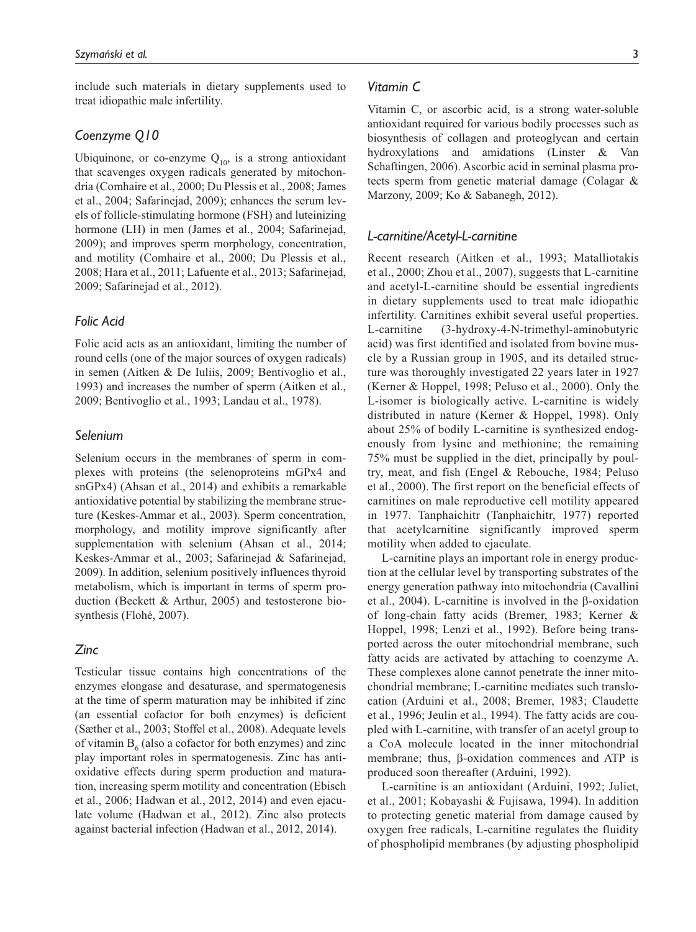include such materials in dietary supplements used to treat idiopathic male infertility.

# *Coenzyme Q10*

Ubiquinone, or co-enzyme  $Q_{10}$ , is a strong antioxidant that scavenges oxygen radicals generated by mitochondria (Comhaire et al., 2000; Du Plessis et al., 2008; James et al., 2004; Safarinejad, 2009); enhances the serum levels of follicle-stimulating hormone (FSH) and luteinizing hormone (LH) in men (James et al., 2004; Safarinejad, 2009); and improves sperm morphology, concentration, and motility (Comhaire et al., 2000; Du Plessis et al., 2008; Hara et al., 2011; Lafuente et al., 2013; Safarinejad, 2009; Safarinejad et al., 2012).

## *Folic Acid*

Folic acid acts as an antioxidant, limiting the number of round cells (one of the major sources of oxygen radicals) in semen (Aitken & De Iuliis, 2009; Bentivoglio et al., 1993) and increases the number of sperm (Aitken et al., 2009; Bentivoglio et al., 1993; Landau et al., 1978).

# *Selenium*

Selenium occurs in the membranes of sperm in complexes with proteins (the selenoproteins mGPx4 and snGPx4) (Ahsan et al., 2014) and exhibits a remarkable antioxidative potential by stabilizing the membrane structure (Keskes-Ammar et al., 2003). Sperm concentration, morphology, and motility improve significantly after supplementation with selenium (Ahsan et al., 2014; Keskes-Ammar et al., 2003; Safarinejad & Safarinejad, 2009). In addition, selenium positively influences thyroid metabolism, which is important in terms of sperm production (Beckett & Arthur, 2005) and testosterone biosynthesis (Flohé, 2007).

# *Zinc*

Testicular tissue contains high concentrations of the enzymes elongase and desaturase, and spermatogenesis at the time of sperm maturation may be inhibited if zinc (an essential cofactor for both enzymes) is deficient (Sæther et al., 2003; Stoffel et al., 2008). Adequate levels of vitamin  $B_6$  (also a cofactor for both enzymes) and zinc play important roles in spermatogenesis. Zinc has antioxidative effects during sperm production and maturation, increasing sperm motility and concentration (Ebisch et al., 2006; Hadwan et al., 2012, 2014) and even ejaculate volume (Hadwan et al., 2012). Zinc also protects against bacterial infection (Hadwan et al., 2012, 2014).

## *Vitamin C*

Vitamin C, or ascorbic acid, is a strong water-soluble antioxidant required for various bodily processes such as biosynthesis of collagen and proteoglycan and certain hydroxylations and amidations (Linster & Van Schaftingen, 2006). Ascorbic acid in seminal plasma protects sperm from genetic material damage (Colagar & Marzony, 2009; Ko & Sabanegh, 2012).

### *L-carnitine/Acetyl-L-carnitine*

Recent research (Aitken et al., 1993; Matalliotakis et al., 2000; Zhou et al., 2007), suggests that L-carnitine and acetyl-L-carnitine should be essential ingredients in dietary supplements used to treat male idiopathic infertility. Carnitines exhibit several useful properties. L-carnitine (3-hydroxy-4-N-trimethyl-aminobutyric acid) was first identified and isolated from bovine muscle by a Russian group in 1905, and its detailed structure was thoroughly investigated 22 years later in 1927 (Kerner & Hoppel, 1998; Peluso et al., 2000). Only the L-isomer is biologically active. L-carnitine is widely distributed in nature (Kerner & Hoppel, 1998). Only about 25% of bodily L-carnitine is synthesized endogenously from lysine and methionine; the remaining 75% must be supplied in the diet, principally by poultry, meat, and fish (Engel & Rebouche, 1984; Peluso et al., 2000). The first report on the beneficial effects of carnitines on male reproductive cell motility appeared in 1977. Tanphaichitr (Tanphaichitr, 1977) reported that acetylcarnitine significantly improved sperm motility when added to ejaculate.

L-carnitine plays an important role in energy production at the cellular level by transporting substrates of the energy generation pathway into mitochondria (Cavallini et al., 2004). L-carnitine is involved in the β-oxidation of long-chain fatty acids (Bremer, 1983; Kerner & Hoppel, 1998; Lenzi et al., 1992). Before being transported across the outer mitochondrial membrane, such fatty acids are activated by attaching to coenzyme A. These complexes alone cannot penetrate the inner mitochondrial membrane; L-carnitine mediates such translocation (Arduini et al., 2008; Bremer, 1983; Claudette et al., 1996; Jeulin et al., 1994). The fatty acids are coupled with L-carnitine, with transfer of an acetyl group to a CoA molecule located in the inner mitochondrial membrane; thus, β-oxidation commences and ATP is produced soon thereafter (Arduini, 1992).

L-carnitine is an antioxidant (Arduini, 1992; Juliet, et al., 2001; Kobayashi & Fujisawa, 1994). In addition to protecting genetic material from damage caused by oxygen free radicals, L-carnitine regulates the fluidity of phospholipid membranes (by adjusting phospholipid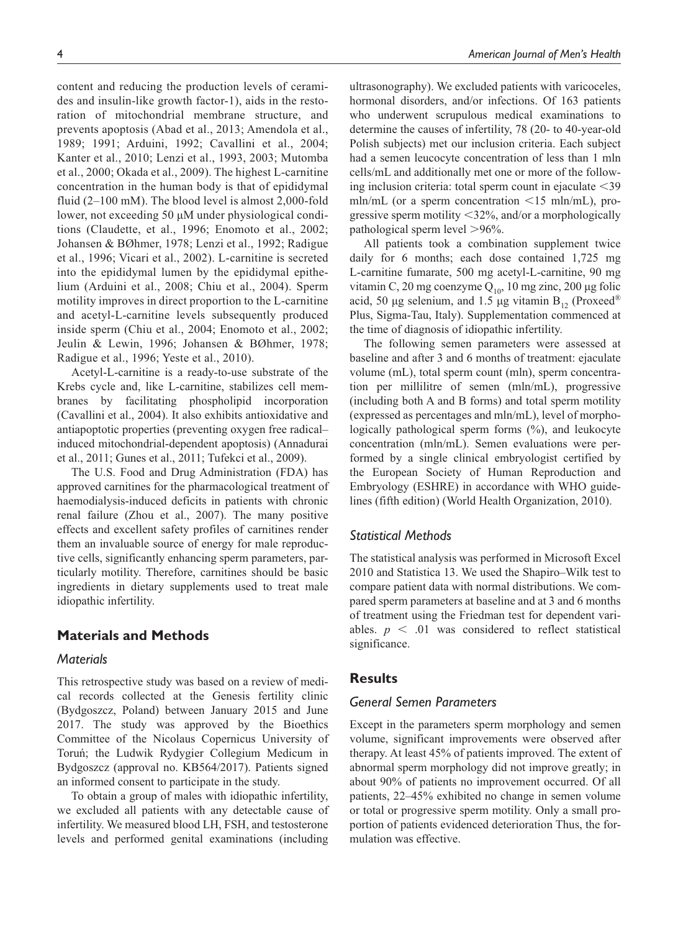content and reducing the production levels of ceramides and insulin-like growth factor-1), aids in the restoration of mitochondrial membrane structure, and prevents apoptosis (Abad et al., 2013; Amendola et al., 1989; 1991; Arduini, 1992; Cavallini et al., 2004; Kanter et al., 2010; Lenzi et al., 1993, 2003; Mutomba et al., 2000; Okada et al., 2009). The highest L-carnitine concentration in the human body is that of epididymal fluid (2–100 mM). The blood level is almost 2,000-fold lower, not exceeding 50 µM under physiological conditions (Claudette, et al., 1996; Enomoto et al., 2002; Johansen & BØhmer, 1978; Lenzi et al., 1992; Radigue et al., 1996; Vicari et al., 2002). L-carnitine is secreted into the epididymal lumen by the epididymal epithelium (Arduini et al., 2008; Chiu et al., 2004). Sperm motility improves in direct proportion to the L-carnitine and acetyl-L-carnitine levels subsequently produced inside sperm (Chiu et al., 2004; Enomoto et al., 2002; Jeulin & Lewin, 1996; Johansen & BØhmer, 1978; Radigue et al., 1996; Yeste et al., 2010).

Acetyl-L-carnitine is a ready-to-use substrate of the Krebs cycle and, like L-carnitine, stabilizes cell membranes by facilitating phospholipid incorporation (Cavallini et al., 2004). It also exhibits antioxidative and antiapoptotic properties (preventing oxygen free radical– induced mitochondrial-dependent apoptosis) (Annadurai et al., 2011; Gunes et al., 2011; Tufekci et al., 2009).

The U.S. Food and Drug Administration (FDA) has approved carnitines for the pharmacological treatment of haemodialysis-induced deficits in patients with chronic renal failure (Zhou et al., 2007). The many positive effects and excellent safety profiles of carnitines render them an invaluable source of energy for male reproductive cells, significantly enhancing sperm parameters, particularly motility. Therefore, carnitines should be basic ingredients in dietary supplements used to treat male idiopathic infertility.

# **Materials and Methods**

### *Materials*

This retrospective study was based on a review of medical records collected at the Genesis fertility clinic (Bydgoszcz, Poland) between January 2015 and June 2017. The study was approved by the Bioethics Committee of the Nicolaus Copernicus University of Toruń; the Ludwik Rydygier Collegium Medicum in Bydgoszcz (approval no. KB564/2017). Patients signed an informed consent to participate in the study.

To obtain a group of males with idiopathic infertility, we excluded all patients with any detectable cause of infertility. We measured blood LH, FSH, and testosterone levels and performed genital examinations (including

ultrasonography). We excluded patients with varicoceles, hormonal disorders, and/or infections. Of 163 patients who underwent scrupulous medical examinations to determine the causes of infertility, 78 (20- to 40-year-old Polish subjects) met our inclusion criteria. Each subject had a semen leucocyte concentration of less than 1 mln cells/mL and additionally met one or more of the following inclusion criteria: total sperm count in ejaculate  $\leq$ 39 mln/mL (or a sperm concentration  $\leq 15$  mln/mL), progressive sperm motility <32%, and/or a morphologically pathological sperm level >96%.

All patients took a combination supplement twice daily for 6 months; each dose contained 1,725 mg L-carnitine fumarate, 500 mg acetyl-L-carnitine, 90 mg vitamin C, 20 mg coenzyme  $Q_{10}$ , 10 mg zinc, 200 µg folic acid, 50 µg selenium, and 1.5 µg vitamin  $B_{12}$  (Proxeed<sup>®</sup>) Plus, Sigma-Tau, Italy). Supplementation commenced at the time of diagnosis of idiopathic infertility.

The following semen parameters were assessed at baseline and after 3 and 6 months of treatment: ejaculate volume (mL), total sperm count (mln), sperm concentration per millilitre of semen (mln/mL), progressive (including both A and B forms) and total sperm motility (expressed as percentages and mln/mL), level of morphologically pathological sperm forms (%), and leukocyte concentration (mln/mL). Semen evaluations were performed by a single clinical embryologist certified by the European Society of Human Reproduction and Embryology (ESHRE) in accordance with WHO guidelines (fifth edition) (World Health Organization, 2010).

# *Statistical Methods*

The statistical analysis was performed in Microsoft Excel 2010 and Statistica 13. We used the Shapiro–Wilk test to compare patient data with normal distributions. We compared sperm parameters at baseline and at 3 and 6 months of treatment using the Friedman test for dependent variables.  $p \leq 0.01$  was considered to reflect statistical significance.

# **Results**

## *General Semen Parameters*

Except in the parameters sperm morphology and semen volume, significant improvements were observed after therapy. At least 45% of patients improved. The extent of abnormal sperm morphology did not improve greatly; in about 90% of patients no improvement occurred. Of all patients, 22–45% exhibited no change in semen volume or total or progressive sperm motility. Only a small proportion of patients evidenced deterioration Thus, the formulation was effective.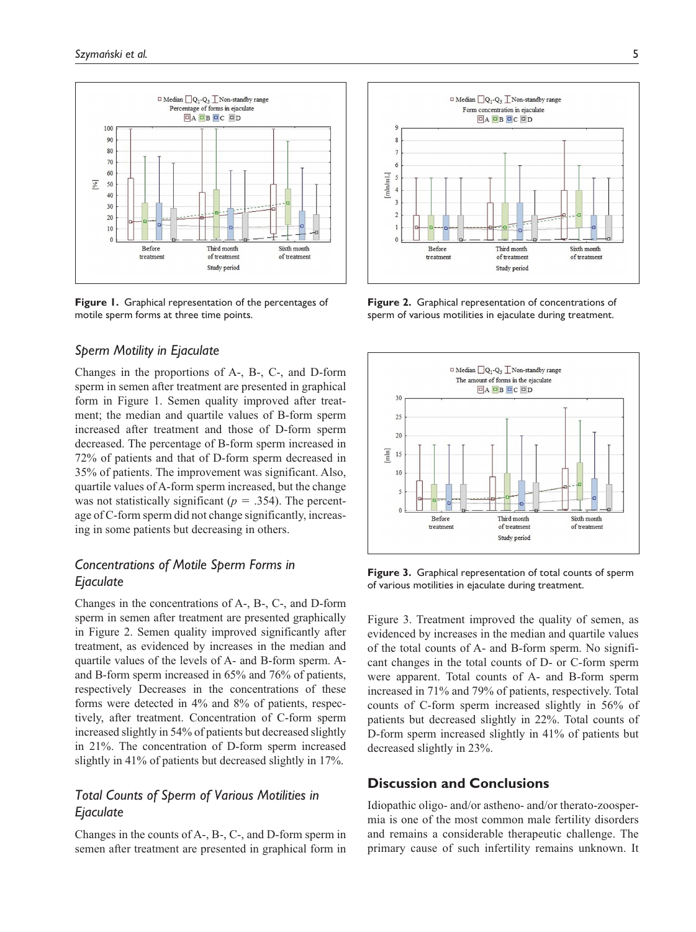

**Figure 1.** Graphical representation of the percentages of motile sperm forms at three time points.

### *Sperm Motility in Ejaculate*

Changes in the proportions of A-, B-, C-, and D-form sperm in semen after treatment are presented in graphical form in Figure 1. Semen quality improved after treatment; the median and quartile values of B-form sperm increased after treatment and those of D-form sperm decreased. The percentage of B-form sperm increased in 72% of patients and that of D-form sperm decreased in 35% of patients. The improvement was significant. Also, quartile values of A-form sperm increased, but the change was not statistically significant ( $p = .354$ ). The percentage of C-form sperm did not change significantly, increasing in some patients but decreasing in others.

# *Concentrations of Motile Sperm Forms in Ejaculate*

Changes in the concentrations of A-, B-, C-, and D-form sperm in semen after treatment are presented graphically in Figure 2. Semen quality improved significantly after treatment, as evidenced by increases in the median and quartile values of the levels of A- and B-form sperm. Aand B-form sperm increased in 65% and 76% of patients, respectively Decreases in the concentrations of these forms were detected in 4% and 8% of patients, respectively, after treatment. Concentration of C-form sperm increased slightly in 54% of patients but decreased slightly in 21%. The concentration of D-form sperm increased slightly in 41% of patients but decreased slightly in 17%.

# *Total Counts of Sperm of Various Motilities in Ejaculate*

Changes in the counts of A-, B-, C-, and D-form sperm in semen after treatment are presented in graphical form in



**Figure 2.** Graphical representation of concentrations of sperm of various motilities in ejaculate during treatment.



**Figure 3.** Graphical representation of total counts of sperm of various motilities in ejaculate during treatment.

Figure 3. Treatment improved the quality of semen, as evidenced by increases in the median and quartile values of the total counts of A- and B-form sperm. No significant changes in the total counts of D- or C-form sperm were apparent. Total counts of A- and B-form sperm increased in 71% and 79% of patients, respectively. Total counts of C-form sperm increased slightly in 56% of patients but decreased slightly in 22%. Total counts of D-form sperm increased slightly in 41% of patients but decreased slightly in 23%.

# **Discussion and Conclusions**

Idiopathic oligo- and/or astheno- and/or therato-zoospermia is one of the most common male fertility disorders and remains a considerable therapeutic challenge. The primary cause of such infertility remains unknown. It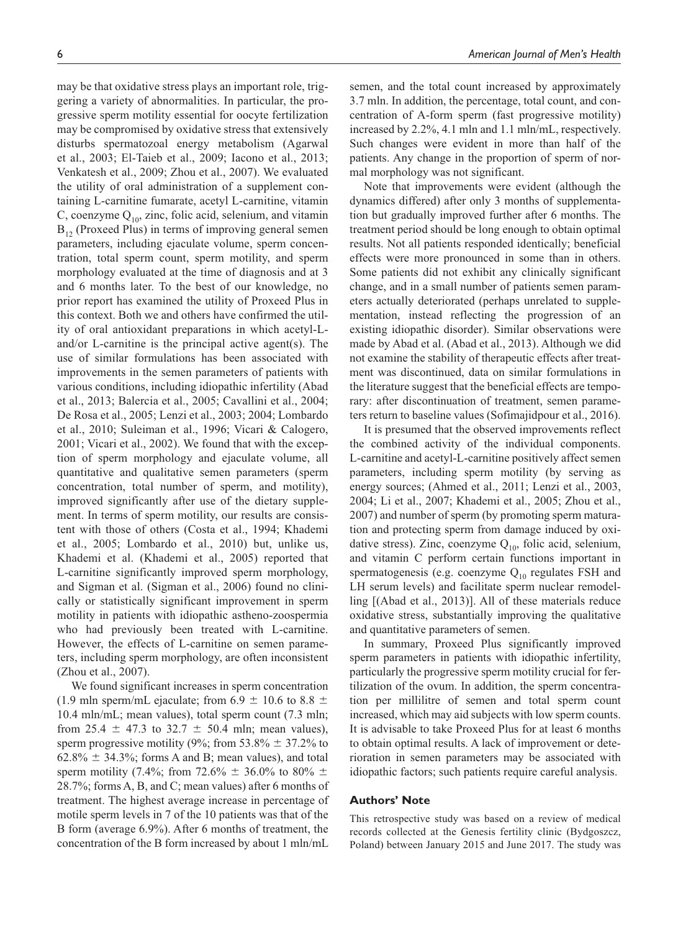may be that oxidative stress plays an important role, triggering a variety of abnormalities. In particular, the progressive sperm motility essential for oocyte fertilization may be compromised by oxidative stress that extensively disturbs spermatozoal energy metabolism (Agarwal et al., 2003; El-Taieb et al., 2009; Iacono et al., 2013; Venkatesh et al., 2009; Zhou et al., 2007). We evaluated the utility of oral administration of a supplement containing L-carnitine fumarate, acetyl L-carnitine, vitamin C, coenzyme  $Q_{10}$ , zinc, folic acid, selenium, and vitamin  $B_{12}$  (Proxeed Plus) in terms of improving general semen parameters, including ejaculate volume, sperm concentration, total sperm count, sperm motility, and sperm morphology evaluated at the time of diagnosis and at 3 and 6 months later. To the best of our knowledge, no prior report has examined the utility of Proxeed Plus in this context. Both we and others have confirmed the utility of oral antioxidant preparations in which acetyl-Land/or L-carnitine is the principal active agent(s). The use of similar formulations has been associated with improvements in the semen parameters of patients with various conditions, including idiopathic infertility (Abad et al., 2013; Balercia et al., 2005; Cavallini et al., 2004; De Rosa et al., 2005; Lenzi et al., 2003; 2004; Lombardo et al., 2010; Suleiman et al., 1996; Vicari & Calogero, 2001; Vicari et al., 2002). We found that with the exception of sperm morphology and ejaculate volume, all quantitative and qualitative semen parameters (sperm concentration, total number of sperm, and motility), improved significantly after use of the dietary supplement. In terms of sperm motility, our results are consistent with those of others (Costa et al., 1994; Khademi et al., 2005; Lombardo et al., 2010) but, unlike us, Khademi et al. (Khademi et al., 2005) reported that L-carnitine significantly improved sperm morphology, and Sigman et al. (Sigman et al., 2006) found no clinically or statistically significant improvement in sperm motility in patients with idiopathic astheno-zoospermia who had previously been treated with L-carnitine. However, the effects of L-carnitine on semen parameters, including sperm morphology, are often inconsistent (Zhou et al., 2007).

We found significant increases in sperm concentration (1.9 mln sperm/mL ejaculate; from 6.9  $\pm$  10.6 to 8.8  $\pm$ 10.4 mln/mL; mean values), total sperm count (7.3 mln; from 25.4  $\pm$  47.3 to 32.7  $\pm$  50.4 mln; mean values), sperm progressive motility (9%; from 53.8%  $\pm$  37.2% to  $62.8\% \pm 34.3\%$ ; forms A and B; mean values), and total sperm motility (7.4%; from 72.6%  $\pm$  36.0% to 80%  $\pm$ 28.7%; forms A, B, and C; mean values) after 6 months of treatment. The highest average increase in percentage of motile sperm levels in 7 of the 10 patients was that of the B form (average 6.9%). After 6 months of treatment, the concentration of the B form increased by about 1 mln/mL semen, and the total count increased by approximately 3.7 mln. In addition, the percentage, total count, and concentration of A-form sperm (fast progressive motility) increased by 2.2%, 4.1 mln and 1.1 mln/mL, respectively. Such changes were evident in more than half of the patients. Any change in the proportion of sperm of normal morphology was not significant.

Note that improvements were evident (although the dynamics differed) after only 3 months of supplementation but gradually improved further after 6 months. The treatment period should be long enough to obtain optimal results. Not all patients responded identically; beneficial effects were more pronounced in some than in others. Some patients did not exhibit any clinically significant change, and in a small number of patients semen parameters actually deteriorated (perhaps unrelated to supplementation, instead reflecting the progression of an existing idiopathic disorder). Similar observations were made by Abad et al. (Abad et al., 2013). Although we did not examine the stability of therapeutic effects after treatment was discontinued, data on similar formulations in the literature suggest that the beneficial effects are temporary: after discontinuation of treatment, semen parameters return to baseline values (Sofimajidpour et al., 2016).

It is presumed that the observed improvements reflect the combined activity of the individual components. L-carnitine and acetyl-L-carnitine positively affect semen parameters, including sperm motility (by serving as energy sources; (Ahmed et al., 2011; Lenzi et al., 2003, 2004; Li et al., 2007; Khademi et al., 2005; Zhou et al., 2007) and number of sperm (by promoting sperm maturation and protecting sperm from damage induced by oxidative stress). Zinc, coenzyme  $Q_{10}$ , folic acid, selenium, and vitamin C perform certain functions important in spermatogenesis (e.g. coenzyme  $Q_{10}$  regulates FSH and LH serum levels) and facilitate sperm nuclear remodelling [(Abad et al., 2013)]. All of these materials reduce oxidative stress, substantially improving the qualitative and quantitative parameters of semen.

In summary, Proxeed Plus significantly improved sperm parameters in patients with idiopathic infertility, particularly the progressive sperm motility crucial for fertilization of the ovum. In addition, the sperm concentration per millilitre of semen and total sperm count increased, which may aid subjects with low sperm counts. It is advisable to take Proxeed Plus for at least 6 months to obtain optimal results. A lack of improvement or deterioration in semen parameters may be associated with idiopathic factors; such patients require careful analysis.

#### **Authors' Note**

This retrospective study was based on a review of medical records collected at the Genesis fertility clinic (Bydgoszcz, Poland) between January 2015 and June 2017. The study was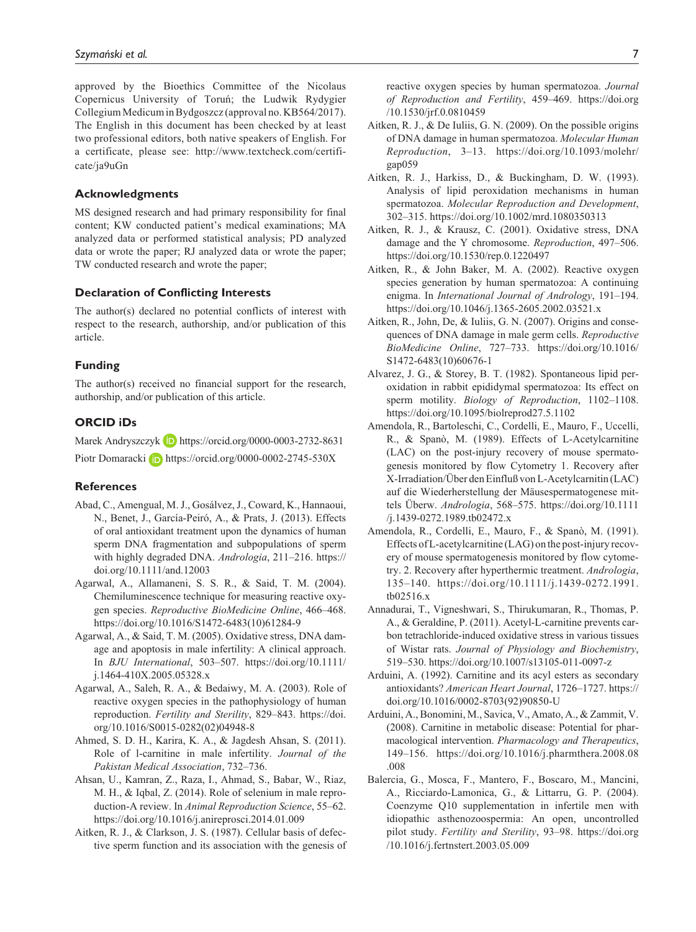approved by the Bioethics Committee of the Nicolaus Copernicus University of Toruń; the Ludwik Rydygier Collegium Medicum in Bydgoszcz (approval no. KB564/2017). The English in this document has been checked by at least two professional editors, both native speakers of English. For a certificate, please see: [http://www.textcheck.com/certifi](http://www.textcheck.com/certificate/ja9uGn)[cate/ja9uGn](http://www.textcheck.com/certificate/ja9uGn)

#### **Acknowledgments**

MS designed research and had primary responsibility for final content; KW conducted patient's medical examinations; MA analyzed data or performed statistical analysis; PD analyzed data or wrote the paper; RJ analyzed data or wrote the paper; TW conducted research and wrote the paper;

#### **Declaration of Conflicting Interests**

The author(s) declared no potential conflicts of interest with respect to the research, authorship, and/or publication of this article.

#### **Funding**

The author(s) received no financial support for the research, authorship, and/or publication of this article.

### **ORCID iDs**

Marek Andryszczyk D <https://orcid.org/0000-0003-2732-8631>

Piotr Domaracki **b** <https://orcid.org/0000-0002-2745-530X>

#### **References**

- Abad, C., Amengual, M. J., Gosálvez, J., Coward, K., Hannaoui, N., Benet, J., García-Peiró, A., & Prats, J. (2013). Effects of oral antioxidant treatment upon the dynamics of human sperm DNA fragmentation and subpopulations of sperm with highly degraded DNA. *Andrologia*, 211–216. [https://](https://doi.org/10.1111/and.12003) [doi.org/10.1111/and.12003](https://doi.org/10.1111/and.12003)
- Agarwal, A., Allamaneni, S. S. R., & Said, T. M. (2004). Chemiluminescence technique for measuring reactive oxygen species. *Reproductive BioMedicine Online*, 466–468. [https://doi.org/10.1016/S1472-6483\(10\)61284-9](https://doi.org/10.1016/S1472-6483(10)61284-9)
- Agarwal, A., & Said, T. M. (2005). Oxidative stress, DNA damage and apoptosis in male infertility: A clinical approach. In *BJU International*, 503–507. [https://doi.org/10.1111/](https://doi.org/10.1111/j.1464-410X.2005.05328.x) [j.1464-410X.2005.05328.x](https://doi.org/10.1111/j.1464-410X.2005.05328.x)
- Agarwal, A., Saleh, R. A., & Bedaiwy, M. A. (2003). Role of reactive oxygen species in the pathophysiology of human reproduction. *Fertility and Sterility*, 829–843. [https://doi.](https://doi.org/10.1016/S0015-0282(02)04948-8) [org/10.1016/S0015-0282\(02\)04948-8](https://doi.org/10.1016/S0015-0282(02)04948-8)
- Ahmed, S. D. H., Karira, K. A., & Jagdesh Ahsan, S. (2011). Role of l-carnitine in male infertility. *Journal of the Pakistan Medical Association*, 732–736.
- Ahsan, U., Kamran, Z., Raza, I., Ahmad, S., Babar, W., Riaz, M. H., & Iqbal, Z. (2014). Role of selenium in male reproduction-A review. In *Animal Reproduction Science*, 55–62. <https://doi.org/10.1016/j.anireprosci.2014.01.009>
- Aitken, R. J., & Clarkson, J. S. (1987). Cellular basis of defective sperm function and its association with the genesis of

reactive oxygen species by human spermatozoa. *Journal of Reproduction and Fertility*, 459–469. [https://doi.org](https://doi.org/10.1530/jrf.0.0810459) [/10.1530/jrf.0.0810459](https://doi.org/10.1530/jrf.0.0810459)

- Aitken, R. J., & De Iuliis, G. N. (2009). On the possible origins of DNA damage in human spermatozoa. *Molecular Human Reproduction*, 3–13. [https://doi.org/10.1093/molehr/](https://doi.org/10.1093/molehr/gap059) [gap059](https://doi.org/10.1093/molehr/gap059)
- Aitken, R. J., Harkiss, D., & Buckingham, D. W. (1993). Analysis of lipid peroxidation mechanisms in human spermatozoa. *Molecular Reproduction and Development*, 302–315.<https://doi.org/10.1002/mrd.1080350313>
- Aitken, R. J., & Krausz, C. (2001). Oxidative stress, DNA damage and the Y chromosome. *Reproduction*, 497–506. <https://doi.org/10.1530/rep.0.1220497>
- Aitken, R., & John Baker, M. A. (2002). Reactive oxygen species generation by human spermatozoa: A continuing enigma. In *International Journal of Andrology*, 191–194. <https://doi.org/10.1046/j.1365-2605.2002.03521.x>
- Aitken, R., John, De, & Iuliis, G. N. (2007). Origins and consequences of DNA damage in male germ cells. *Reproductive BioMedicine Online*, 727–733. [https://doi.org/10.1016/](https://doi.org/10.1016/S1472-6483(10)60676-1) [S1472-6483\(10\)60676-1](https://doi.org/10.1016/S1472-6483(10)60676-1)
- Alvarez, J. G., & Storey, B. T. (1982). Spontaneous lipid peroxidation in rabbit epididymal spermatozoa: Its effect on sperm motility. *Biology of Reproduction*, 1102–1108. <https://doi.org/10.1095/biolreprod27.5.1102>
- Amendola, R., Bartoleschi, C., Cordelli, E., Mauro, F., Uccelli, R., & Spanò, M. (1989). Effects of L-Acetylcarnitine (LAC) on the post-injury recovery of mouse spermatogenesis monitored by flow Cytometry 1. Recovery after X-Irradiation/Über den Einfluß von L-Acetylcarnitin (LAC) auf die Wiederherstellung der Mäusespermatogenese mittels Überw. *Andrologia*, 568–575. [https://doi.org/10.1111](https://doi.org/10.1111/j.1439-0272.1989.tb02472.x) [/j.1439-0272.1989.tb02472.x](https://doi.org/10.1111/j.1439-0272.1989.tb02472.x)
- Amendola, R., Cordelli, E., Mauro, F., & Spanò, M. (1991). Effects of L-acetylcarnitine (LAG) on the post-injury recovery of mouse spermatogenesis monitored by flow cytometry. 2. Recovery after hyperthermic treatment. *Andrologia*, 135–140. [https://doi.org/10.1111/j.1439-0272.1991.](https://doi.org/10.1111/j.1439-0272.1991.tb02516.x) [tb02516.x](https://doi.org/10.1111/j.1439-0272.1991.tb02516.x)
- Annadurai, T., Vigneshwari, S., Thirukumaran, R., Thomas, P. A., & Geraldine, P. (2011). Acetyl-L-carnitine prevents carbon tetrachloride-induced oxidative stress in various tissues of Wistar rats. *Journal of Physiology and Biochemistry*, 519–530. <https://doi.org/10.1007/s13105-011-0097-z>
- Arduini, A. (1992). Carnitine and its acyl esters as secondary antioxidants? *American Heart Journal*, 1726–1727. [https://](https://doi.org/10.1016/0002-8703(92)90850-U) [doi.org/10.1016/0002-8703\(92\)90850-U](https://doi.org/10.1016/0002-8703(92)90850-U)
- Arduini, A., Bonomini, M., Savica, V., Amato, A., & Zammit, V. (2008). Carnitine in metabolic disease: Potential for pharmacological intervention. *Pharmacology and Therapeutics*, 149–156. [https://doi.org/10.1016/j.pharmthera.2008.08](https://doi.org/10.1016/j.pharmthera.2008.08.008) [.008](https://doi.org/10.1016/j.pharmthera.2008.08.008)
- Balercia, G., Mosca, F., Mantero, F., Boscaro, M., Mancini, A., Ricciardo-Lamonica, G., & Littarru, G. P. (2004). Coenzyme Q10 supplementation in infertile men with idiopathic asthenozoospermia: An open, uncontrolled pilot study. *Fertility and Sterility*, 93–98. [https://doi.org](https://doi.org/10.1016/j.fertnstert.2003.05.009) [/10.1016/j.fertnstert.2003.05.009](https://doi.org/10.1016/j.fertnstert.2003.05.009)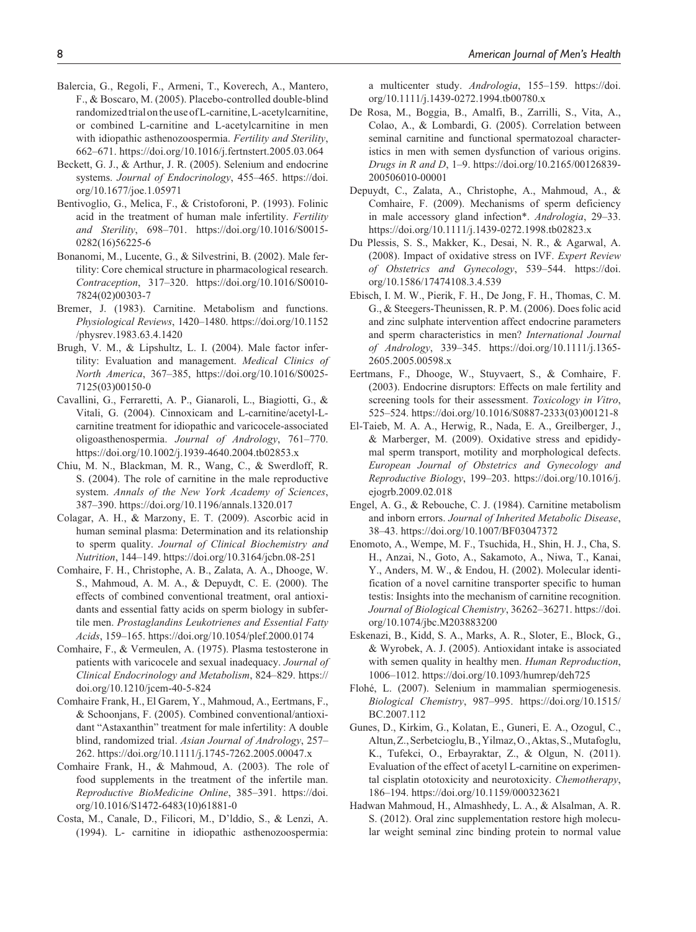- Balercia, G., Regoli, F., Armeni, T., Koverech, A., Mantero, F., & Boscaro, M. (2005). Placebo-controlled double-blind randomized trial on the use of L-carnitine, L-acetylcarnitine, or combined L-carnitine and L-acetylcarnitine in men with idiopathic asthenozoospermia. *Fertility and Sterility*, 662–671.<https://doi.org/10.1016/j.fertnstert.2005.03.064>
- Beckett, G. J., & Arthur, J. R. (2005). Selenium and endocrine systems. *Journal of Endocrinology*, 455–465. [https://doi.](https://doi.org/10.1677/joe.1.05971) [org/10.1677/joe.1.05971](https://doi.org/10.1677/joe.1.05971)
- Bentivoglio, G., Melica, F., & Cristoforoni, P. (1993). Folinic acid in the treatment of human male infertility. *Fertility and Sterility*, 698–701. [https://doi.org/10.1016/S0015-](https://doi.org/10.1016/S0015-0282(16)56225-6) [0282\(16\)56225-6](https://doi.org/10.1016/S0015-0282(16)56225-6)
- Bonanomi, M., Lucente, G., & Silvestrini, B. (2002). Male fertility: Core chemical structure in pharmacological research. *Contraception*, 317–320. [https://doi.org/10.1016/S0010-](https://doi.org/10.1016/S0010-7824(02)00303-7) [7824\(02\)00303-7](https://doi.org/10.1016/S0010-7824(02)00303-7)
- Bremer, J. (1983). Carnitine. Metabolism and functions. *Physiological Reviews*, 1420–1480. [https://doi.org/10.1152](https://doi.org/10.1152/physrev.1983.63.4.1420) [/physrev.1983.63.4.1420](https://doi.org/10.1152/physrev.1983.63.4.1420)
- Brugh, V. M., & Lipshultz, L. I. (2004). Male factor infertility: Evaluation and management. *Medical Clinics of North America*, 367–385, [https://doi.org/10.1016/S0025-](https://doi.org/10.1016/S0025-7125(03)00150-0) [7125\(03\)00150-0](https://doi.org/10.1016/S0025-7125(03)00150-0)
- Cavallini, G., Ferraretti, A. P., Gianaroli, L., Biagiotti, G., & Vitali, G. (2004). Cinnoxicam and L-carnitine/acetyl-Lcarnitine treatment for idiopathic and varicocele-associated oligoasthenospermia. *Journal of Andrology*, 761–770. <https://doi.org/10.1002/j.1939-4640.2004.tb02853.x>
- Chiu, M. N., Blackman, M. R., Wang, C., & Swerdloff, R. S. (2004). The role of carnitine in the male reproductive system. *Annals of the New York Academy of Sciences*, 387–390.<https://doi.org/10.1196/annals.1320.017>
- Colagar, A. H., & Marzony, E. T. (2009). Ascorbic acid in human seminal plasma: Determination and its relationship to sperm quality. *Journal of Clinical Biochemistry and Nutrition*, 144–149. <https://doi.org/10.3164/jcbn.08-251>
- Comhaire, F. H., Christophe, A. B., Zalata, A. A., Dhooge, W. S., Mahmoud, A. M. A., & Depuydt, C. E. (2000). The effects of combined conventional treatment, oral antioxidants and essential fatty acids on sperm biology in subfertile men. *Prostaglandins Leukotrienes and Essential Fatty Acids*, 159–165.<https://doi.org/10.1054/plef.2000.0174>
- Comhaire, F., & Vermeulen, A. (1975). Plasma testosterone in patients with varicocele and sexual inadequacy. *Journal of Clinical Endocrinology and Metabolism*, 824–829. [https://](https://doi.org/10.1210/jcem-40-5-824) [doi.org/10.1210/jcem-40-5-824](https://doi.org/10.1210/jcem-40-5-824)
- Comhaire Frank, H., El Garem, Y., Mahmoud, A., Eertmans, F., & Schoonjans, F. (2005). Combined conventional/antioxidant "Astaxanthin" treatment for male infertility: A double blind, randomized trial. *Asian Journal of Andrology*, 257– 262.<https://doi.org/10.1111/j.1745-7262.2005.00047.x>
- Comhaire Frank, H., & Mahmoud, A. (2003). The role of food supplements in the treatment of the infertile man. *Reproductive BioMedicine Online*, 385–391. [https://doi.](https://doi.org/10.1016/S1472-6483(10)61881-0) [org/10.1016/S1472-6483\(10\)61881-0](https://doi.org/10.1016/S1472-6483(10)61881-0)
- Costa, M., Canale, D., Filicori, M., D'lddio, S., & Lenzi, A. (1994). L- carnitine in idiopathic asthenozoospermia:

a multicenter study. *Andrologia*, 155–159. [https://doi.](https://doi.org/10.1111/j.1439-0272.1994.tb00780.x) [org/10.1111/j.1439-0272.1994.tb00780.x](https://doi.org/10.1111/j.1439-0272.1994.tb00780.x)

- De Rosa, M., Boggia, B., Amalfi, B., Zarrilli, S., Vita, A., Colao, A., & Lombardi, G. (2005). Correlation between seminal carnitine and functional spermatozoal characteristics in men with semen dysfunction of various origins. *Drugs in R and D*, 1–9. [https://doi.org/10.2165/00126839-](https://doi.org/10.2165/00126839-200506010-00001) [200506010-00001](https://doi.org/10.2165/00126839-200506010-00001)
- Depuydt, C., Zalata, A., Christophe, A., Mahmoud, A., & Comhaire, F. (2009). Mechanisms of sperm deficiency in male accessory gland infection\*. *Andrologia*, 29–33. <https://doi.org/10.1111/j.1439-0272.1998.tb02823.x>
- Du Plessis, S. S., Makker, K., Desai, N. R., & Agarwal, A. (2008). Impact of oxidative stress on IVF. *Expert Review of Obstetrics and Gynecology*, 539–544. [https://doi.](https://doi.org/10.1586/17474108.3.4.539) [org/10.1586/17474108.3.4.539](https://doi.org/10.1586/17474108.3.4.539)
- Ebisch, I. M. W., Pierik, F. H., De Jong, F. H., Thomas, C. M. G., & Steegers-Theunissen, R. P. M. (2006). Does folic acid and zinc sulphate intervention affect endocrine parameters and sperm characteristics in men? *International Journal of Andrology*, 339–345. [https://doi.org/10.1111/j.1365-](https://doi.org/10.1111/j.1365-2605.2005.00598.x) [2605.2005.00598.x](https://doi.org/10.1111/j.1365-2605.2005.00598.x)
- Eertmans, F., Dhooge, W., Stuyvaert, S., & Comhaire, F. (2003). Endocrine disruptors: Effects on male fertility and screening tools for their assessment. *Toxicology in Vitro*, 525–524. [https://doi.org/10.1016/S0887-2333\(03\)00121-8](https://doi.org/10.1016/S0887-2333(03)00121-8)
- El-Taieb, M. A. A., Herwig, R., Nada, E. A., Greilberger, J., & Marberger, M. (2009). Oxidative stress and epididymal sperm transport, motility and morphological defects. *European Journal of Obstetrics and Gynecology and Reproductive Biology*, 199–203. [https://doi.org/10.1016/j.](https://doi.org/10.1016/j.ejogrb.2009.02.018) [ejogrb.2009.02.018](https://doi.org/10.1016/j.ejogrb.2009.02.018)
- Engel, A. G., & Rebouche, C. J. (1984). Carnitine metabolism and inborn errors. *Journal of Inherited Metabolic Disease*, 38–43. <https://doi.org/10.1007/BF03047372>
- Enomoto, A., Wempe, M. F., Tsuchida, H., Shin, H. J., Cha, S. H., Anzai, N., Goto, A., Sakamoto, A., Niwa, T., Kanai, Y., Anders, M. W., & Endou, H. (2002). Molecular identification of a novel carnitine transporter specific to human testis: Insights into the mechanism of carnitine recognition. *Journal of Biological Chemistry*, 36262–36271. [https://doi.](https://doi.org/10.1074/jbc.M203883200) [org/10.1074/jbc.M203883200](https://doi.org/10.1074/jbc.M203883200)
- Eskenazi, B., Kidd, S. A., Marks, A. R., Sloter, E., Block, G., & Wyrobek, A. J. (2005). Antioxidant intake is associated with semen quality in healthy men. *Human Reproduction*, 1006–1012. <https://doi.org/10.1093/humrep/deh725>
- Flohé, L. (2007). Selenium in mammalian spermiogenesis. *Biological Chemistry*, 987–995. [https://doi.org/10.1515/](https://doi.org/10.1515/BC.2007.112) [BC.2007.112](https://doi.org/10.1515/BC.2007.112)
- Gunes, D., Kirkim, G., Kolatan, E., Guneri, E. A., Ozogul, C., Altun, Z., Serbetcioglu, B., Yilmaz, O., Aktas, S., Mutafoglu, K., Tufekci, O., Erbayraktar, Z., & Olgun, N. (2011). Evaluation of the effect of acetyl L-carnitine on experimental cisplatin ototoxicity and neurotoxicity. *Chemotherapy*, 186–194. <https://doi.org/10.1159/000323621>
- Hadwan Mahmoud, H., Almashhedy, L. A., & Alsalman, A. R. S. (2012). Oral zinc supplementation restore high molecular weight seminal zinc binding protein to normal value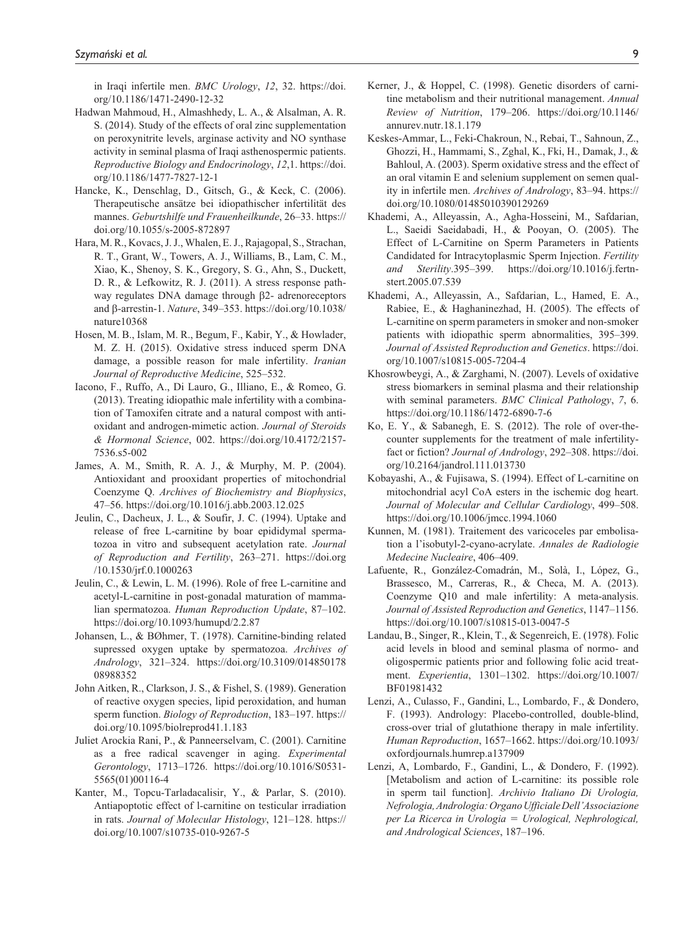in Iraqi infertile men. *BMC Urology*, *12*, 32. [https://doi.](https://doi.org/10.1186/1471-2490-12-32) [org/10.1186/1471-2490-12-32](https://doi.org/10.1186/1471-2490-12-32)

- Hadwan Mahmoud, H., Almashhedy, L. A., & Alsalman, A. R. S. (2014). Study of the effects of oral zinc supplementation on peroxynitrite levels, arginase activity and NO synthase activity in seminal plasma of Iraqi asthenospermic patients. *Reproductive Biology and Endocrinology*, *12*,1. [https://doi.](https://doi.org/10.1186/1477-7827-12-1) [org/10.1186/1477-7827-12-1](https://doi.org/10.1186/1477-7827-12-1)
- Hancke, K., Denschlag, D., Gitsch, G., & Keck, C. (2006). Therapeutische ansätze bei idiopathischer infertilität des mannes. *Geburtshilfe und Frauenheilkunde*, 26–33. [https://](https://doi.org/10.1055/s-2005-872897) [doi.org/10.1055/s-2005-872897](https://doi.org/10.1055/s-2005-872897)
- Hara, M. R., Kovacs, J. J., Whalen, E. J., Rajagopal, S., Strachan, R. T., Grant, W., Towers, A. J., Williams, B., Lam, C. M., Xiao, K., Shenoy, S. K., Gregory, S. G., Ahn, S., Duckett, D. R., & Lefkowitz, R. J. (2011). A stress response pathway regulates DNA damage through β2- adrenoreceptors and β-arrestin-1. *Nature*, 349–353. [https://doi.org/10.1038/](https://doi.org/10.1038/nature10368) [nature10368](https://doi.org/10.1038/nature10368)
- Hosen, M. B., Islam, M. R., Begum, F., Kabir, Y., & Howlader, M. Z. H. (2015). Oxidative stress induced sperm DNA damage, a possible reason for male infertility. *Iranian Journal of Reproductive Medicine*, 525–532.
- Iacono, F., Ruffo, A., Di Lauro, G., Illiano, E., & Romeo, G. (2013). Treating idiopathic male infertility with a combination of Tamoxifen citrate and a natural compost with antioxidant and androgen-mimetic action. *Journal of Steroids & Hormonal Science*, 002. [https://doi.org/10.4172/2157-](https://doi.org/10.4172/2157-7536.s5-002) [7536.s5-002](https://doi.org/10.4172/2157-7536.s5-002)
- James, A. M., Smith, R. A. J., & Murphy, M. P. (2004). Antioxidant and prooxidant properties of mitochondrial Coenzyme Q. *Archives of Biochemistry and Biophysics*, 47–56. <https://doi.org/10.1016/j.abb.2003.12.025>
- Jeulin, C., Dacheux, J. L., & Soufir, J. C. (1994). Uptake and release of free L-carnitine by boar epididymal spermatozoa in vitro and subsequent acetylation rate. *Journal of Reproduction and Fertility*, 263–271. [https://doi.org](https://doi.org/10.1530/jrf.0.1000263) [/10.1530/jrf.0.1000263](https://doi.org/10.1530/jrf.0.1000263)
- Jeulin, C., & Lewin, L. M. (1996). Role of free L-carnitine and acetyl-L-carnitine in post-gonadal maturation of mammalian spermatozoa. *Human Reproduction Update*, 87–102. <https://doi.org/10.1093/humupd/2.2.87>
- Johansen, L., & BØhmer, T. (1978). Carnitine-binding related supressed oxygen uptake by spermatozoa. *Archives of Andrology*, 321–324. [https://doi.org/10.3109/014850178](https://doi.org/10.3109/01485017808988352) [08988352](https://doi.org/10.3109/01485017808988352)
- John Aitken, R., Clarkson, J. S., & Fishel, S. (1989). Generation of reactive oxygen species, lipid peroxidation, and human sperm function. *Biology of Reproduction*, 183–197. [https://](https://doi.org/10.1095/biolreprod41.1.183) [doi.org/10.1095/biolreprod41.1.183](https://doi.org/10.1095/biolreprod41.1.183)
- Juliet Arockia Rani, P., & Panneerselvam, C. (2001). Carnitine as a free radical scavenger in aging. *Experimental Gerontology*, 1713–1726. [https://doi.org/10.1016/S0531-](https://doi.org/10.1016/S0531-5565(01)00116-4) [5565\(01\)00116-4](https://doi.org/10.1016/S0531-5565(01)00116-4)
- Kanter, M., Topcu-Tarladacalisir, Y., & Parlar, S. (2010). Antiapoptotic effect of l-carnitine on testicular irradiation in rats. *Journal of Molecular Histology*, 121–128. [https://](https://doi.org/10.1007/s10735-010-9267-5) [doi.org/10.1007/s10735-010-9267-5](https://doi.org/10.1007/s10735-010-9267-5)
- Kerner, J., & Hoppel, C. (1998). Genetic disorders of carnitine metabolism and their nutritional management. *Annual Review of Nutrition*, 179–206. [https://doi.org/10.1146/](https://doi.org/10.1146/annurev.nutr.18.1.179) [annurev.nutr.18.1.179](https://doi.org/10.1146/annurev.nutr.18.1.179)
- Keskes-Ammar, L., Feki-Chakroun, N., Rebai, T., Sahnoun, Z., Ghozzi, H., Hammami, S., Zghal, K., Fki, H., Damak, J., & Bahloul, A. (2003). Sperm oxidative stress and the effect of an oral vitamin E and selenium supplement on semen quality in infertile men. *Archives of Andrology*, 83–94. [https://](https://doi.org/10.1080/01485010390129269) [doi.org/10.1080/01485010390129269](https://doi.org/10.1080/01485010390129269)
- Khademi, A., Alleyassin, A., Agha-Hosseini, M., Safdarian, L., Saeidi Saeidabadi, H., & Pooyan, O. (2005). The Effect of L-Carnitine on Sperm Parameters in Patients Candidated for Intracytoplasmic Sperm Injection. *Fertility and Sterility*.395–399. [https://doi.org/10.1016/j.fertn](https://doi.org/10.1016/j.fertnstert.2005.07.539)[stert.2005.07.539](https://doi.org/10.1016/j.fertnstert.2005.07.539)
- Khademi, A., Alleyassin, A., Safdarian, L., Hamed, E. A., Rabiee, E., & Haghaninezhad, H. (2005). The effects of L-carnitine on sperm parameters in smoker and non-smoker patients with idiopathic sperm abnormalities, 395–399. *Journal of Assisted Reproduction and Genetics*. [https://doi.](https://doi.org/10.1007/s10815-005-7204-4) [org/10.1007/s10815-005-7204-4](https://doi.org/10.1007/s10815-005-7204-4)
- Khosrowbeygi, A., & Zarghami, N. (2007). Levels of oxidative stress biomarkers in seminal plasma and their relationship with seminal parameters. *BMC Clinical Pathology*, *7*, 6. <https://doi.org/10.1186/1472-6890-7-6>
- Ko, E. Y., & Sabanegh, E. S. (2012). The role of over-thecounter supplements for the treatment of male infertilityfact or fiction? *Journal of Andrology*, 292–308. [https://doi.](https://doi.org/10.2164/jandrol.111.013730) [org/10.2164/jandrol.111.013730](https://doi.org/10.2164/jandrol.111.013730)
- Kobayashi, A., & Fujisawa, S. (1994). Effect of L-carnitine on mitochondrial acyl CoA esters in the ischemic dog heart. *Journal of Molecular and Cellular Cardiology*, 499–508. <https://doi.org/10.1006/jmcc.1994.1060>
- Kunnen, M. (1981). Traitement des varicoceles par embolisation a l'isobutyl-2-cyano-acrylate. *Annales de Radiologie Medecine Nucleaire*, 406–409.
- Lafuente, R., González-Comadrán, M., Solà, I., López, G., Brassesco, M., Carreras, R., & Checa, M. A. (2013). Coenzyme Q10 and male infertility: A meta-analysis. *Journal of Assisted Reproduction and Genetics*, 1147–1156. <https://doi.org/10.1007/s10815-013-0047-5>
- Landau, B., Singer, R., Klein, T., & Segenreich, E. (1978). Folic acid levels in blood and seminal plasma of normo- and oligospermic patients prior and following folic acid treatment. *Experientia*, 1301–1302. [https://doi.org/10.1007/](https://doi.org/10.1007/BF01981432) [BF01981432](https://doi.org/10.1007/BF01981432)
- Lenzi, A., Culasso, F., Gandini, L., Lombardo, F., & Dondero, F. (1993). Andrology: Placebo-controlled, double-blind, cross-over trial of glutathione therapy in male infertility. *Human Reproduction*, 1657–1662. [https://doi.org/10.1093/](https://doi.org/10.1093/oxfordjournals.humrep.a137909) [oxfordjournals.humrep.a137909](https://doi.org/10.1093/oxfordjournals.humrep.a137909)
- Lenzi, A, Lombardo, F., Gandini, L., & Dondero, F. (1992). [Metabolism and action of L-carnitine: its possible role in sperm tail function]. *Archivio Italiano Di Urologia, Nefrologia, Andrologia: Organo Ufficiale Dell'Associazione per La Ricerca in Urologia* = *Urological, Nephrological, and Andrological Sciences*, 187–196.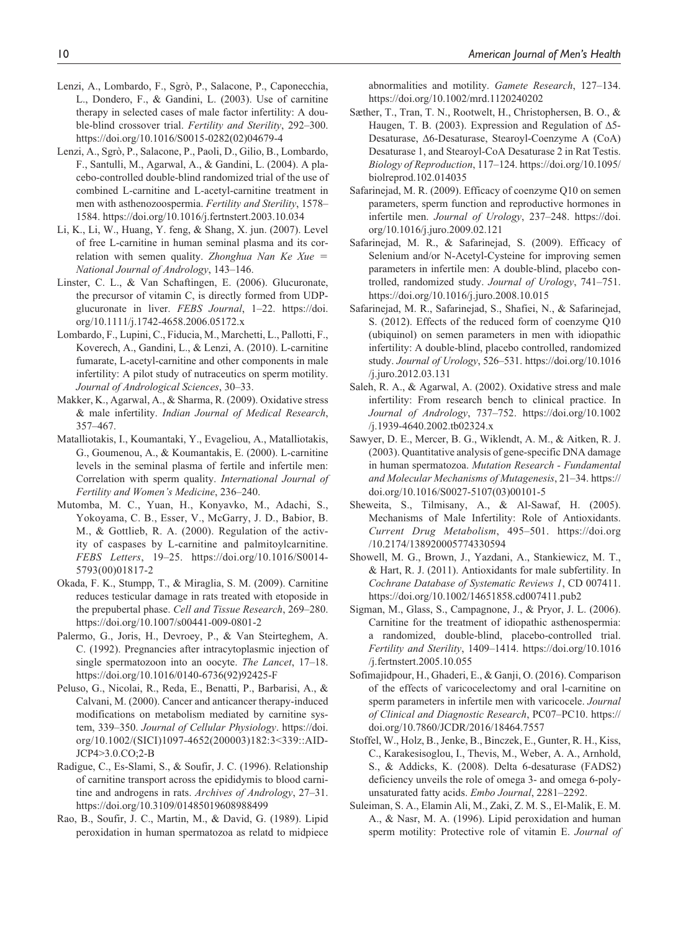- Lenzi, A., Lombardo, F., Sgrò, P., Salacone, P., Caponecchia, L., Dondero, F., & Gandini, L. (2003). Use of carnitine therapy in selected cases of male factor infertility: A double-blind crossover trial. *Fertility and Sterility*, 292–300. [https://doi.org/10.1016/S0015-0282\(02\)04679-4](https://doi.org/10.1016/S0015-0282(02)04679-4)
- Lenzi, A., Sgrò, P., Salacone, P., Paoli, D., Gilio, B., Lombardo, F., Santulli, M., Agarwal, A., & Gandini, L. (2004). A placebo-controlled double-blind randomized trial of the use of combined L-carnitine and L-acetyl-carnitine treatment in men with asthenozoospermia. *Fertility and Sterility*, 1578– 1584.<https://doi.org/10.1016/j.fertnstert.2003.10.034>
- Li, K., Li, W., Huang, Y. feng, & Shang, X. jun. (2007). Level of free L-carnitine in human seminal plasma and its correlation with semen quality. *Zhonghua Nan Ke Xue* = *National Journal of Andrology*, 143–146.
- Linster, C. L., & Van Schaftingen, E. (2006). Glucuronate, the precursor of vitamin C, is directly formed from UDPglucuronate in liver. *FEBS Journal*, 1–22. [https://doi.](https://doi.org/10.1111/j.1742-4658.2006.05172.x) [org/10.1111/j.1742-4658.2006.05172.x](https://doi.org/10.1111/j.1742-4658.2006.05172.x)
- Lombardo, F., Lupini, C., Fiducia, M., Marchetti, L., Pallotti, F., Koverech, A., Gandini, L., & Lenzi, A. (2010). L-carnitine fumarate, L-acetyl-carnitine and other components in male infertility: A pilot study of nutraceutics on sperm motility. *Journal of Andrological Sciences*, 30–33.
- Makker, K., Agarwal, A., & Sharma, R. (2009). Oxidative stress & male infertility. *Indian Journal of Medical Research*, 357–467.
- Matalliotakis, I., Koumantaki, Y., Evageliou, A., Matalliotakis, G., Goumenou, A., & Koumantakis, E. (2000). L-carnitine levels in the seminal plasma of fertile and infertile men: Correlation with sperm quality. *International Journal of Fertility and Women's Medicine*, 236–240.
- Mutomba, M. C., Yuan, H., Konyavko, M., Adachi, S., Yokoyama, C. B., Esser, V., McGarry, J. D., Babior, B. M., & Gottlieb, R. A. (2000). Regulation of the activity of caspases by L-carnitine and palmitoylcarnitine. *FEBS Letters*, 19–25. [https://doi.org/10.1016/S0014-](https://doi.org/10.1016/S0014-5793(00)01817-2) [5793\(00\)01817-2](https://doi.org/10.1016/S0014-5793(00)01817-2)
- Okada, F. K., Stumpp, T., & Miraglia, S. M. (2009). Carnitine reduces testicular damage in rats treated with etoposide in the prepubertal phase. *Cell and Tissue Research*, 269–280. <https://doi.org/10.1007/s00441-009-0801-2>
- Palermo, G., Joris, H., Devroey, P., & Van Steirteghem, A. C. (1992). Pregnancies after intracytoplasmic injection of single spermatozoon into an oocyte. *The Lancet*, 17–18. [https://doi.org/10.1016/0140-6736\(92\)92425-F](https://doi.org/10.1016/0140-6736(92)92425-F)
- Peluso, G., Nicolai, R., Reda, E., Benatti, P., Barbarisi, A., & Calvani, M. (2000). Cancer and anticancer therapy-induced modifications on metabolism mediated by carnitine system, 339–350. *Journal of Cellular Physiology*. [https://doi.](https://doi.org/10.1002/(SICI)1097-4652(200003)182:3<339::AID-JCP4>3.0.CO;2-B) [org/10.1002/\(SICI\)1097-4652\(200003\)182:3<339::AID-](https://doi.org/10.1002/(SICI)1097-4652(200003)182:3<339::AID-JCP4>3.0.CO;2-B)[JCP4>3.0.CO;2-B](https://doi.org/10.1002/(SICI)1097-4652(200003)182:3<339::AID-JCP4>3.0.CO;2-B)
- Radigue, C., Es-Slami, S., & Soufir, J. C. (1996). Relationship of carnitine transport across the epididymis to blood carnitine and androgens in rats. *Archives of Andrology*, 27–31. <https://doi.org/10.3109/01485019608988499>
- Rao, B., Soufir, J. C., Martin, M., & David, G. (1989). Lipid peroxidation in human spermatozoa as relatd to midpiece

abnormalities and motility. *Gamete Research*, 127–134. <https://doi.org/10.1002/mrd.1120240202>

- Sæther, T., Tran, T. N., Rootwelt, H., Christophersen, B. O., & Haugen, T. B. (2003). Expression and Regulation of Δ5- Desaturase, Δ6-Desaturase, Stearoyl-Coenzyme A (CoA) Desaturase 1, and Stearoyl-CoA Desaturase 2 in Rat Testis. *Biology of Reproduction*, 117–124. [https://doi.org/10.1095/](https://doi.org/10.1095/biolreprod.102.014035) [biolreprod.102.014035](https://doi.org/10.1095/biolreprod.102.014035)
- Safarinejad, M. R. (2009). Efficacy of coenzyme Q10 on semen parameters, sperm function and reproductive hormones in infertile men. *Journal of Urology*, 237–248. [https://doi.](https://doi.org/10.1016/j.juro.2009.02.121) [org/10.1016/j.juro.2009.02.121](https://doi.org/10.1016/j.juro.2009.02.121)
- Safarinejad, M. R., & Safarinejad, S. (2009). Efficacy of Selenium and/or N-Acetyl-Cysteine for improving semen parameters in infertile men: A double-blind, placebo controlled, randomized study. *Journal of Urology*, 741–751. <https://doi.org/10.1016/j.juro.2008.10.015>
- Safarinejad, M. R., Safarinejad, S., Shafiei, N., & Safarinejad, S. (2012). Effects of the reduced form of coenzyme Q10 (ubiquinol) on semen parameters in men with idiopathic infertility: A double-blind, placebo controlled, randomized study. *Journal of Urology*, 526–531. [https://doi.org/10.1016](https://doi.org/10.1016/j.juro.2012.03.131) [/j.juro.2012.03.131](https://doi.org/10.1016/j.juro.2012.03.131)
- Saleh, R. A., & Agarwal, A. (2002). Oxidative stress and male infertility: From research bench to clinical practice. In *Journal of Andrology*, 737–752. [https://doi.org/10.1002](https://doi.org/10.1002/j.1939-4640.2002.tb02324.x) [/j.1939-4640.2002.tb02324.x](https://doi.org/10.1002/j.1939-4640.2002.tb02324.x)
- Sawyer, D. E., Mercer, B. G., Wiklendt, A. M., & Aitken, R. J. (2003). Quantitative analysis of gene-specific DNA damage in human spermatozoa. *Mutation Research - Fundamental and Molecular Mechanisms of Mutagenesis*, 21–34. [https://](https://doi.org/10.1016/S0027-5107(03)00101-5) [doi.org/10.1016/S0027-5107\(03\)00101-5](https://doi.org/10.1016/S0027-5107(03)00101-5)
- Sheweita, S., Tilmisany, A., & Al-Sawaf, H. (2005). Mechanisms of Male Infertility: Role of Antioxidants. *Current Drug Metabolism*, 495–501. [https://doi.org](https://doi.org/10.2174/138920005774330594) [/10.2174/138920005774330594](https://doi.org/10.2174/138920005774330594)
- Showell, M. G., Brown, J., Yazdani, A., Stankiewicz, M. T., & Hart, R. J. (2011). Antioxidants for male subfertility. In *Cochrane Database of Systematic Reviews 1*, CD 007411. <https://doi.org/10.1002/14651858.cd007411.pub2>
- Sigman, M., Glass, S., Campagnone, J., & Pryor, J. L. (2006). Carnitine for the treatment of idiopathic asthenospermia: a randomized, double-blind, placebo-controlled trial. *Fertility and Sterility*, 1409–1414. [https://doi.org/10.1016](https://doi.org/10.1016/j.fertnstert.2005.10.055) [/j.fertnstert.2005.10.055](https://doi.org/10.1016/j.fertnstert.2005.10.055)
- Sofimajidpour, H., Ghaderi, E., & Ganji, O. (2016). Comparison of the effects of varicocelectomy and oral l-carnitine on sperm parameters in infertile men with varicocele. *Journal of Clinical and Diagnostic Research*, PC07–PC10. [https://](https://doi.org/10.7860/JCDR/2016/18464.7557) [doi.org/10.7860/JCDR/2016/18464.7557](https://doi.org/10.7860/JCDR/2016/18464.7557)
- Stoffel, W., Holz, B., Jenke, B., Binczek, E., Gunter, R. H., Kiss, C., Karakesisoglou, I., Thevis, M., Weber, A. A., Arnhold, S., & Addicks, K. (2008). Delta 6-desaturase (FADS2) deficiency unveils the role of omega 3- and omega 6-polyunsaturated fatty acids. *Embo Journal*, 2281–2292.
- Suleiman, S. A., Elamin Ali, M., Zaki, Z. M. S., El-Malik, E. M. A., & Nasr, M. A. (1996). Lipid peroxidation and human sperm motility: Protective role of vitamin E. *Journal of*